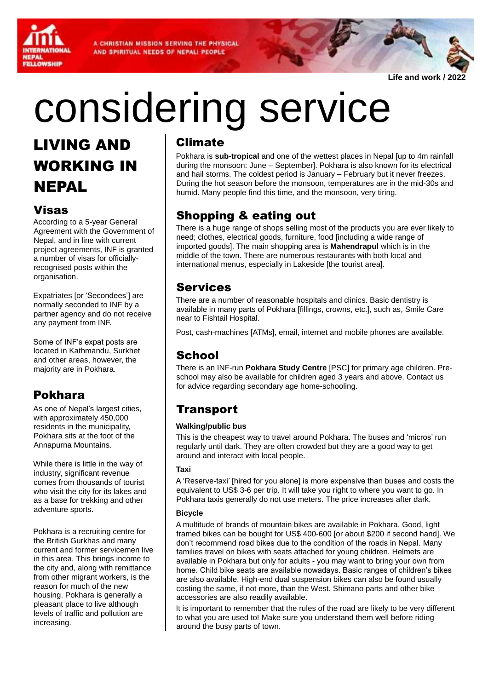A CHRISTIAN MISSION SERVING THE PHYSICAL AND SPIRITUAL NEEDS OF NEPALI PEOPLE



**Life and work / 2022**

# considering service

## LIVING AND WORKING IN NEPAL

## Visas

According to a 5-year General Agreement with the Government of Nepal, and in line with current project agreements, INF is granted a number of visas for officiallyrecognised posts within the organisation.

Expatriates [or 'Secondees'] are normally seconded to INF by a partner agency and do not receive any payment from INF.

Some of INF's expat posts are located in Kathmandu, Surkhet and other areas, however, the majority are in Pokhara.

## Pokhara

As one of Nepal's largest cities, with approximately 450,000 residents in the municipality, Pokhara sits at the foot of the Annapurna Mountains.

While there is little in the way of industry, significant revenue comes from thousands of tourist who visit the city for its lakes and as a base for trekking and other adventure sports.

Pokhara is a recruiting centre for the British Gurkhas and many current and former servicemen live in this area. This brings income to the city and, along with remittance from other migrant workers, is the reason for much of the new housing. Pokhara is generally a pleasant place to live although levels of traffic and pollution are increasing.

### Climate

Pokhara is **sub-tropical** and one of the wettest places in Nepal [up to 4m rainfall during the monsoon: June – September]. Pokhara is also known for its electrical and hail storms. The coldest period is January – February but it never freezes. During the hot season before the monsoon, temperatures are in the mid-30s and humid. Many people find this time, and the monsoon, very tiring.

## Shopping & eating out

There is a huge range of shops selling most of the products you are ever likely to need; clothes, electrical goods, furniture, food [including a wide range of imported goods]. The main shopping area is **Mahendrapul** which is in the middle of the town. There are numerous restaurants with both local and international menus, especially in Lakeside [the tourist area].

### Services

There are a number of reasonable hospitals and clinics. Basic dentistry is available in many parts of Pokhara [fillings, crowns, etc.], such as, Smile Care near to Fishtail Hospital.

Post, cash-machines [ATMs], email, internet and mobile phones are available.

## **School**

There is an INF-run **Pokhara Study Centre** [PSC] for primary age children. Preschool may also be available for children aged 3 years and above. Contact us for advice regarding secondary age home-schooling.

## **Transport**

#### **Walking/public bus**

This is the cheapest way to travel around Pokhara. The buses and 'micros' run regularly until dark. They are often crowded but they are a good way to get around and interact with local people.

#### **Taxi**

A 'Reserve-taxi' [hired for you alone] is more expensive than buses and costs the equivalent to US\$ 3-6 per trip. It will take you right to where you want to go. In Pokhara taxis generally do not use meters. The price increases after dark.

#### **Bicycle**

A multitude of brands of mountain bikes are available in Pokhara. Good, light framed bikes can be bought for US\$ 400-600 [or about \$200 if second hand]. We don't recommend road bikes due to the condition of the roads in Nepal. Many families travel on bikes with seats attached for young children. Helmets are available in Pokhara but only for adults - you may want to bring your own from home. Child bike seats are available nowadays. Basic ranges of children's bikes are also available. High-end dual suspension bikes can also be found usually costing the same, if not more, than the West. Shimano parts and other bike accessories are also readily available.

It is important to remember that the rules of the road are likely to be very different to what you are used to! Make sure you understand them well before riding around the busy parts of town.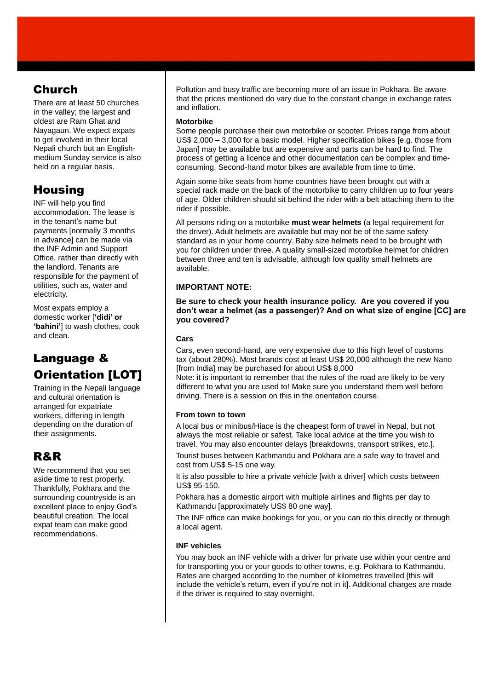## Church

There are at least 50 churches in the valley; the largest and oldest are Ram Ghat and Nayagaun. We expect expats to get involved in their local Nepali church but an Englishmedium Sunday service is also held on a regular basis.

## **Housing**

INF will help you find accommodation. The lease is in the tenant's name but payments [normally 3 months in advance] can be made via the INF Admin and Support Office, rather than directly with the landlord. Tenants are responsible for the payment of utilities, such as, water and electricity.

Most expats employ a domestic worker [**'didi' or 'bahini'**] to wash clothes, cook and clean.

## Language & **Orientation [LOT]**

Training in the Nepali language and cultural orientation is arranged for expatriate workers, differing in length depending on the duration of their assignments.

## R&R

We recommend that you set aside time to rest properly. Thankfully, Pokhara and the surrounding countryside is an excellent place to enjoy God's beautiful creation. The local expat team can make good recommendations.

Pollution and busy traffic are becoming more of an issue in Pokhara. Be aware that the prices mentioned do vary due to the constant change in exchange rates and inflation.

#### **Motorbike**

Some people purchase their own motorbike or scooter. Prices range from about US\$ 2,000 – 3,000 for a basic model. Higher specification bikes [e.g. those from Japan] may be available but are expensive and parts can be hard to find. The process of getting a licence and other documentation can be complex and timeconsuming. Second-hand motor bikes are available from time to time.

Again some bike seats from home countries have been brought out with a special rack made on the back of the motorbike to carry children up to four years of age. Older children should sit behind the rider with a belt attaching them to the rider if possible.

All persons riding on a motorbike **must wear helmets** (a legal requirement for the driver). Adult helmets are available but may not be of the same safety standard as in your home country. Baby size helmets need to be brought with you for children under three. A quality small-sized motorbike helmet for children between three and ten is advisable, although low quality small helmets are available.

#### **IMPORTANT NOTE:**

#### **Be sure to check your health insurance policy. Are you covered if you don't wear a helmet (as a passenger)? And on what size of engine [CC] are you covered?**

#### **Cars**

Cars, even second-hand, are very expensive due to this high level of customs tax (about 280%). Most brands cost at least US\$ 20,000 although the new Nano [from India] may be purchased for about US\$ 8,000

Note: it is important to remember that the rules of the road are likely to be very different to what you are used to! Make sure you understand them well before driving. There is a session on this in the orientation course.

#### **From town to town**

A local bus or minibus/Hiace is the cheapest form of travel in Nepal, but not always the most reliable or safest. Take local advice at the time you wish to travel. You may also encounter delays [breakdowns, transport strikes, etc.].

Tourist buses between Kathmandu and Pokhara are a safe way to travel and cost from US\$ 5-15 one way.

It is also possible to hire a private vehicle [with a driver] which costs between US\$ 95-150.

Pokhara has a domestic airport with multiple airlines and flights per day to Kathmandu [approximately US\$ 80 one way].

The INF office can make bookings for you, or you can do this directly or through a local agent.

#### **INF vehicles**

You may book an INF vehicle with a driver for private use within your centre and for transporting you or your goods to other towns, e.g. Pokhara to Kathmandu. Rates are charged according to the number of kilometres travelled [this will include the vehicle's return, even if you're not in it]. Additional charges are made if the driver is required to stay overnight.